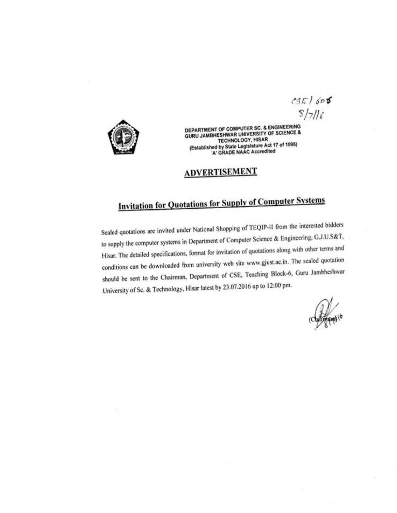$CSE/606$  $5/716$ 



DEPARTMENT OF COMPUTER SC. & ENGINEERING **GURU JAMBHESHWAR UNIVERSITY OF SCIENCE & TECHNOLOGY, HISAR** (Established by State Legislature Act 17 of 1995) 'A' GRADE NAAC Accredited

## **ADVERTISEMENT**

# **Invitation for Quotations for Supply of Computer Systems**

Sealed quotations are invited under National Shopping of TEQIP-II from the interested bidders to supply the computer systems in Department of Computer Science & Engineering, G.J.U.S&T, Hisar. The detailed specifications, format for invitation of quotations along with other terms and conditions can be downloaded from university web site www.gjust.ac.in. The sealed quotation should be sent to the Chairman, Department of CSE, Teaching Block-6, Guru Jambheshwar University of Sc. & Technology, Hisar latest by 23.07.2016 up to 12:00 pm.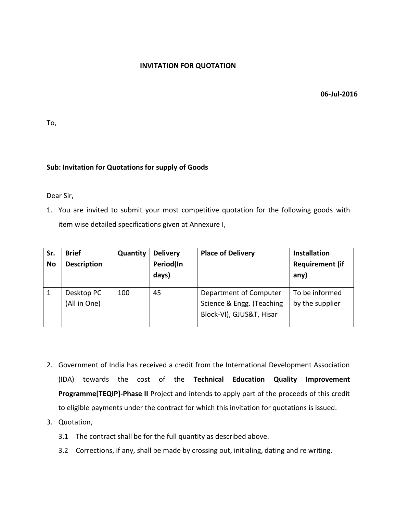#### **INVITATION FOR QUOTATION**

 **06-Jul-2016**

To,

#### **Sub: Invitation for Quotations for supply of Goods**

Dear Sir,

1. You are invited to submit your most competitive quotation for the following goods with item wise detailed specifications given at Annexure I,

| Sr.<br><b>No</b> | <b>Brief</b><br><b>Description</b> | Quantity | <b>Delivery</b><br>Period(In<br>days) | <b>Place of Delivery</b>                                                        | <b>Installation</b><br><b>Requirement (if</b><br>any) |
|------------------|------------------------------------|----------|---------------------------------------|---------------------------------------------------------------------------------|-------------------------------------------------------|
|                  | Desktop PC<br>(All in One)         | 100      | 45                                    | Department of Computer<br>Science & Engg. (Teaching<br>Block-VI), GJUS&T, Hisar | To be informed<br>by the supplier                     |

- 2. Government of India has received a credit from the International Development Association (IDA) towards the cost of the **Technical Education Quality Improvement Programme[TEQIP]-Phase II** Project and intends to apply part of the proceeds of this credit to eligible payments under the contract for which this invitation for quotations is issued.
- 3. Quotation,
	- 3.1 The contract shall be for the full quantity as described above.
	- 3.2 Corrections, if any, shall be made by crossing out, initialing, dating and re writing.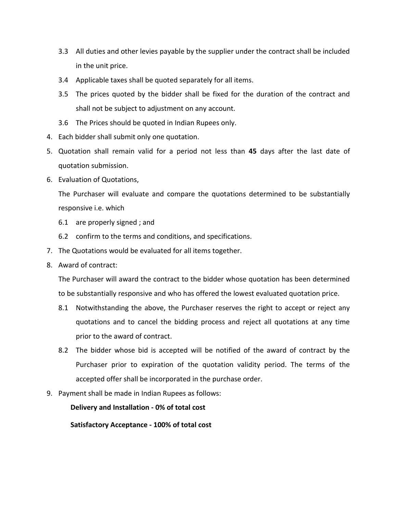- 3.3 All duties and other levies payable by the supplier under the contract shall be included in the unit price.
- 3.4 Applicable taxes shall be quoted separately for all items.
- 3.5 The prices quoted by the bidder shall be fixed for the duration of the contract and shall not be subject to adjustment on any account.
- 3.6 The Prices should be quoted in Indian Rupees only.
- 4. Each bidder shall submit only one quotation.
- 5. Quotation shall remain valid for a period not less than **45** days after the last date of quotation submission.
- 6. Evaluation of Quotations,

The Purchaser will evaluate and compare the quotations determined to be substantially responsive i.e. which

- 6.1 are properly signed ; and
- 6.2 confirm to the terms and conditions, and specifications.
- 7. The Quotations would be evaluated for all items together.
- 8. Award of contract:

The Purchaser will award the contract to the bidder whose quotation has been determined to be substantially responsive and who has offered the lowest evaluated quotation price.

- 8.1 Notwithstanding the above, the Purchaser reserves the right to accept or reject any quotations and to cancel the bidding process and reject all quotations at any time prior to the award of contract.
- 8.2 The bidder whose bid is accepted will be notified of the award of contract by the Purchaser prior to expiration of the quotation validity period. The terms of the accepted offer shall be incorporated in the purchase order.
- 9. Payment shall be made in Indian Rupees as follows:

**Delivery and Installation - 0% of total cost**

**Satisfactory Acceptance - 100% of total cost**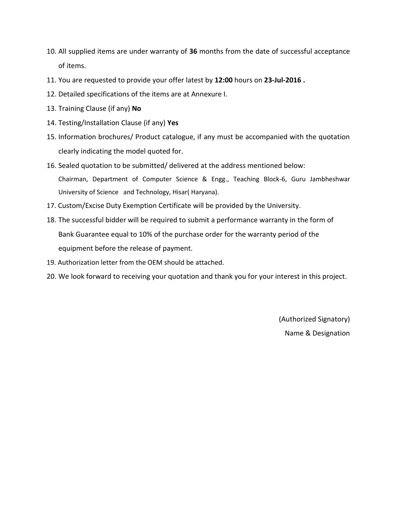- 10. All supplied items are under warranty of **36** months from the date of successful acceptance of items.
- 11. You are requested to provide your offer latest by **12:00** hours on **23-Jul-2016 .**
- 12. Detailed specifications of the items are at Annexure I.
- 13. Training Clause (if any) **No**
- 14. Testing/Installation Clause (if any) **Yes**
- 15. Information brochures/ Product catalogue, if any must be accompanied with the quotation clearly indicating the model quoted for.
- 16. Sealed quotation to be submitted/ delivered at the address mentioned below: Chairman, Department of Computer Science & Engg., Teaching Block-6, Guru Jambheshwar University of Science and Technology, Hisar( Haryana).
- 17. Custom/Excise Duty Exemption Certificate will be provided by the University.
- 18. The successful bidder will be required to submit a performance warranty in the form of Bank Guarantee equal to 10% of the purchase order for the warranty period of the equipment before the release of payment.
- 19. Authorization letter from the OEM should be attached.
- 20. We look forward to receiving your quotation and thank you for your interest in this project.

(Authorized Signatory) Name & Designation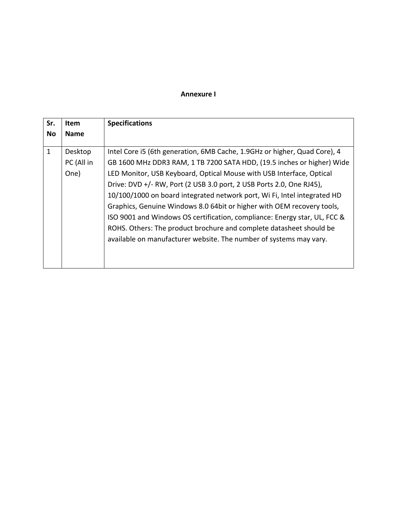### **Annexure I**

| Sr.          | <b>Item</b>                   | <b>Specifications</b>                                                                                                                                                                                                                                                                                                                                                                                                                                                                                                                                                                                                                                                               |
|--------------|-------------------------------|-------------------------------------------------------------------------------------------------------------------------------------------------------------------------------------------------------------------------------------------------------------------------------------------------------------------------------------------------------------------------------------------------------------------------------------------------------------------------------------------------------------------------------------------------------------------------------------------------------------------------------------------------------------------------------------|
| No           | <b>Name</b>                   |                                                                                                                                                                                                                                                                                                                                                                                                                                                                                                                                                                                                                                                                                     |
| $\mathbf{1}$ | Desktop<br>PC (All in<br>One) | Intel Core i5 (6th generation, 6MB Cache, 1.9GHz or higher, Quad Core), 4<br>GB 1600 MHz DDR3 RAM, 1 TB 7200 SATA HDD, (19.5 inches or higher) Wide<br>LED Monitor, USB Keyboard, Optical Mouse with USB Interface, Optical<br>Drive: DVD +/- RW, Port (2 USB 3.0 port, 2 USB Ports 2.0, One RJ45),<br>10/100/1000 on board integrated network port, Wi Fi, Intel integrated HD<br>Graphics, Genuine Windows 8.0 64bit or higher with OEM recovery tools,<br>ISO 9001 and Windows OS certification, compliance: Energy star, UL, FCC &<br>ROHS. Others: The product brochure and complete datasheet should be<br>available on manufacturer website. The number of systems may vary. |